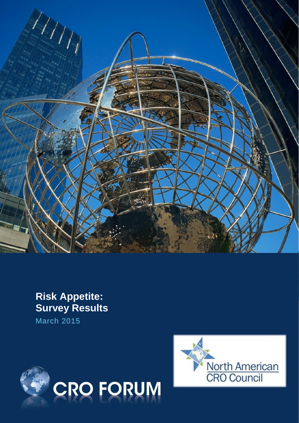

# **Risk Appetite: Survey Results**

March 2015



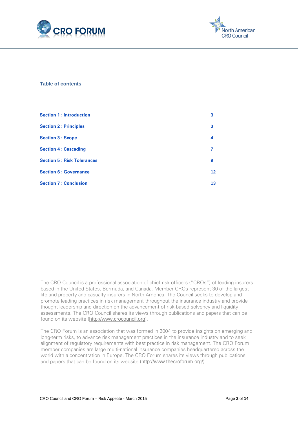



### **Table of contents**

| <b>Section 1: Introduction</b>    | 3  |
|-----------------------------------|----|
| <b>Section 2: Principles</b>      | 3  |
| <b>Section 3 : Scope</b>          | 4  |
| <b>Section 4: Cascading</b>       | 7  |
| <b>Section 5: Risk Tolerances</b> | 9  |
| <b>Section 6: Governance</b>      | 12 |
| <b>Section 7: Conclusion</b>      | 13 |

The CRO Council is a professional association of chief risk officers ("CROs") of leading insurers based in the United States, Bermuda, and Canada. Member CROs represent 30 of the largest life and property and casualty insurers in North America. The Council seeks to develop and promote leading practices in risk management throughout the insurance industry and provide thought leadership and direction on the advancement of risk-based solvency and liquidity assessments. The CRO Council shares its views through publications and papers that can be found on its website ([http://www.crocouncil.org](http://www.crocouncil.org/)).

The CRO Forum is an association that was formed in 2004 to provide insights on emerging and long-term risks, to advance risk management practices in the insurance industry and to seek alignment of regulatory requirements with best practice in risk management. The CRO Forum member companies are large multi-national insurance companies headquartered across the world with a concentration in Europe. The CRO Forum shares its views through publications and papers that can be found on its website (<http://www.thecroforum.org/>).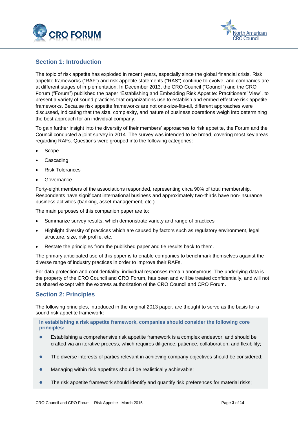



# <span id="page-2-0"></span>**Section 1: Introduction**

The topic of risk appetite has exploded in recent years, especially since the global financial crisis. Risk appetite frameworks ("RAF") and risk appetite statements ("RAS") continue to evolve, and companies are at different stages of implementation. In December 2013, the CRO Council ("Council") and the CRO Forum ("Forum") published the paper "Establishing and Embedding Risk Appetite: Practitioners' View", to present a variety of sound practices that organizations use to establish and embed effective risk appetite frameworks. Because risk appetite frameworks are not one-size-fits-all, different approaches were discussed, indicating that the size, complexity, and nature of business operations weigh into determining the best approach for an individual company.

To gain further insight into the diversity of their members' approaches to risk appetite, the Forum and the Council conducted a joint survey in 2014. The survey was intended to be broad, covering most key areas regarding RAFs. Questions were grouped into the following categories:

- Scope
- Cascading
- Risk Tolerances
- Governance.

Forty-eight members of the associations responded, representing circa 90% of total membership. Respondents have significant international business and approximately two-thirds have non-insurance business activities (banking, asset management, etc.).

The main purposes of this companion paper are to:

- Summarize survey results, which demonstrate variety and range of practices
- Highlight diversity of practices which are caused by factors such as regulatory environment, legal structure, size, risk profile, etc.
- Restate the principles from the published paper and tie results back to them.

The primary anticipated use of this paper is to enable companies to benchmark themselves against the diverse range of industry practices in order to improve their RAFs.

For data protection and confidentiality, individual responses remain anonymous. The underlying data is the property of the CRO Council and CRO Forum, has been and will be treated confidentially, and will not be shared except with the express authorization of the CRO Council and CRO Forum.

# <span id="page-2-1"></span>**Section 2: Principles**

The following principles, introduced in the original 2013 paper, are thought to serve as the basis for a sound risk appetite framework:

### **In establishing a risk appetite framework, companies should consider the following core principles:**

- Establishing a comprehensive risk appetite framework is a complex endeavor, and should be crafted via an iterative process, which requires diligence, patience, collaboration, and flexibility;
- The diverse interests of parties relevant in achieving company objectives should be considered;
- Managing within risk appetites should be realistically achievable;
- The risk appetite framework should identify and quantify risk preferences for material risks;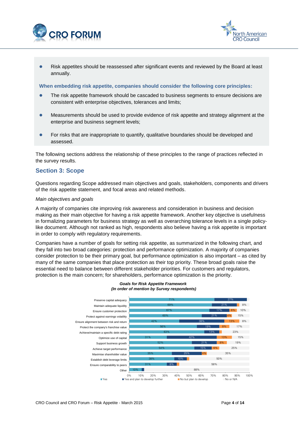



 Risk appetites should be reassessed after significant events and reviewed by the Board at least annually.

**When embedding risk appetite, companies should consider the following core principles:**

- The risk appetite framework should be cascaded to business segments to ensure decisions are consistent with enterprise objectives, tolerances and limits;
- Measurements should be used to provide evidence of risk appetite and strategy alignment at the enterprise and business segment levels;
- For risks that are inappropriate to quantify, qualitative boundaries should be developed and assessed.

The following sections address the relationship of these principles to the range of practices reflected in the survey results.

# <span id="page-3-0"></span>**Section 3: Scope**

Questions regarding Scope addressed main objectives and goals, stakeholders, components and drivers of the risk appetite statement, and focal areas and related methods.

#### *Main objectives and goals*

A majority of companies cite improving risk awareness and consideration in business and decision making as their main objective for having a risk appetite framework. Another key objective is usefulness in formalizing parameters for business strategy as well as overarching tolerance levels in a single policylike document. Although not ranked as high, respondents also believe having a risk appetite is important in order to comply with regulatory requirements.

Companies have a number of goals for setting risk appetite, as summarized in the following chart, and they fall into two broad categories: protection and performance optimization. A majority of companies consider protection to be their primary goal, but performance optimization is also important – as cited by many of the same companies that place protection as their top priority. These broad goals raise the essential need to balance between different stakeholder priorities. For customers and regulators, protection is the main concern; for shareholders, performance optimization is the priority.



#### *Goals for Risk Appetite Framework (In order of mention by Survey respondents)*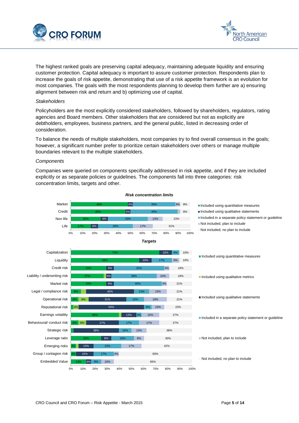



The highest ranked goals are preserving capital adequacy, maintaining adequate liquidity and ensuring customer protection. Capital adequacy is important to assure customer protection. Respondents plan to increase the goals of risk appetite, demonstrating that use of a risk appetite framework is an evolution for most companies. The goals with the most respondents planning to develop them further are a) ensuring alignment between risk and return and b) optimizing use of capital.

#### *Stakeholders*

Policyholders are the most explicitly considered stakeholders, followed by shareholders, regulators, rating agencies and Board members. Other stakeholders that are considered but not as explicitly are debtholders, employees, business partners, and the general public, listed in decreasing order of consideration.

To balance the needs of multiple stakeholders, most companies try to find overall consensus in the goals; however, a significant number prefer to prioritize certain stakeholders over others or manage multiple boundaries relevant to the multiple stakeholders.

#### *Components*

Companies were queried on components specifically addressed in risk appetite, and if they are included explicitly or as separate policies or guidelines. The components fall into three categories: risk concentration limits, targets and other.

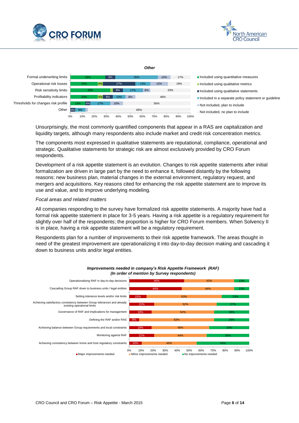



13% 23% 33% 23% 29% 4%  $4%$ 4% 4% 8% 8% 27% 8% 8% 17% 10% 17% 13% 35% 10% 8% 6% 15% 10%  $0.50/$ 56% 46% 33% 19% 17% 0% 10% 20% 30% 40% 50% 60% 70% 80% 90% 100% **Other** Thresholds for changes risk profile Profitability indicators Risk sensitivity limits Operational risk losses Formal underwriting limits **Included using quantitative measures** as **Included using quantitative measures** Included using qualitative metrics Included using qualitative statements Included in a separate policy statement or guideline Not included, plan to include Not included, no plan to include

*Other*

Unsurprisingly, the most commonly quantified components that appear in a RAS are capitalization and liquidity targets, although many respondents also include market and credit risk concentration metrics.

The components most expressed in qualitative statements are reputational, compliance, operational and strategic. Qualitative statements for strategic risk are almost exclusively provided by CRO Forum respondents.

Development of a risk appetite statement is an evolution. Changes to risk appetite statements after initial formalization are driven in large part by the need to enhance it, followed distantly by the following reasons: new business plan, material changes in the external environment, regulatory request, and mergers and acquisitions. Key reasons cited for enhancing the risk appetite statement are to improve its use and value, and to improve underlying modeling.

#### *Focal areas and related matters*

All companies responding to the survey have formalized risk appetite statements. A majority have had a formal risk appetite statement in place for 3-5 years. Having a risk appetite is a regulatory requirement for slightly over half of the respondents; the proportion is higher for CRO Forum members. When Solvency II is in place, having a risk appetite statement will be a regulatory requirement.

Respondents plan for a number of improvements to their risk appetite framework. The areas thought in need of the greatest improvement are operationalizing it into day-to-day decision making and cascading it down to business units and/or legal entities.



*Improvements needed in company's Risk Appetite Framework (RAF) (In order of mention by Survey respondents)*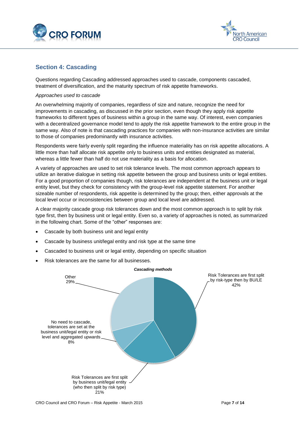



# <span id="page-6-0"></span>**Section 4: Cascading**

Questions regarding Cascading addressed approaches used to cascade, components cascaded, treatment of diversification, and the maturity spectrum of risk appetite frameworks.

#### *Approaches used to cascade*

An overwhelming majority of companies, regardless of size and nature, recognize the need for improvements in cascading, as discussed in the prior section, even though they apply risk appetite frameworks to different types of business within a group in the same way. Of interest, even companies with a decentralized governance model tend to apply the risk appetite framework to the entire group in the same way. Also of note is that cascading practices for companies with non-insurance activities are similar to those of companies predominantly with insurance activities.

Respondents were fairly evenly split regarding the influence materiality has on risk appetite allocations. A little more than half allocate risk appetite only to business units and entities designated as material, whereas a little fewer than half do not use materiality as a basis for allocation.

A variety of approaches are used to set risk tolerance levels. The most common approach appears to utilize an iterative dialogue in setting risk appetite between the group and business units or legal entities. For a good proportion of companies though, risk tolerances are independent at the business unit or legal entity level, but they check for consistency with the group-level risk appetite statement. For another sizeable number of respondents, risk appetite is determined by the group; then, either approvals at the local level occur or inconsistencies between group and local level are addressed.

A clear majority cascade group risk tolerances down and the most common approach is to split by risk type first, then by business unit or legal entity. Even so, a variety of approaches is noted, as summarized in the following chart. Some of the "other" responses are:

- Cascade by both business unit and legal entity
- Cascade by business unit/legal entity and risk type at the same time
- Cascaded to business unit or legal entity, depending on specific situation
- Risk tolerances are the same for all businesses.

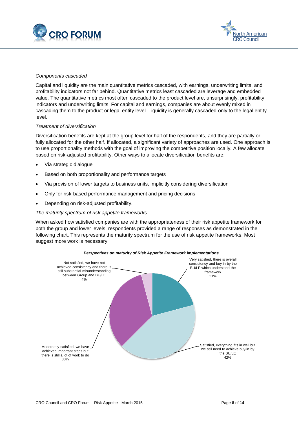



#### *Components cascaded*

Capital and liquidity are the main quantitative metrics cascaded, with earnings, underwriting limits, and profitability indicators not far behind. Quantitative metrics least cascaded are leverage and embedded value. The quantitative metrics most often cascaded to the product level are, unsurprisingly, profitability indicators and underwriting limits. For capital and earnings, companies are about evenly mixed in cascading them to the product or legal entity level. Liquidity is generally cascaded only to the legal entity level.

#### *Treatment of diversification*

Diversification benefits are kept at the group level for half of the respondents, and they are partially or fully allocated for the other half. If allocated, a significant variety of approaches are used. One approach is to use proportionality methods with the goal of improving the competitive position locally. A few allocate based on risk-adjusted profitability. Other ways to allocate diversification benefits are:

- Via strategic dialogue
- Based on both proportionality and performance targets
- Via provision of lower targets to business units, implicitly considering diversification
- Only for risk-based performance management and pricing decisions
- Depending on risk-adjusted profitability.

#### *The maturity spectrum of risk appetite frameworks*

When asked how satisfied companies are with the appropriateness of their risk appetite framework for both the group and lower levels, respondents provided a range of responses as demonstrated in the following chart. This represents the maturity spectrum for the use of risk appetite frameworks. Most suggest more work is necessary.

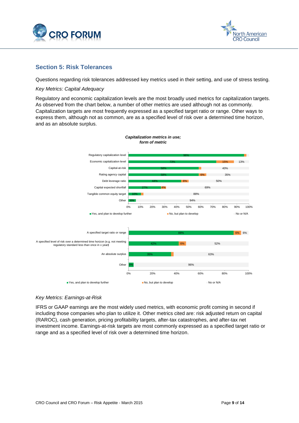



# <span id="page-8-0"></span>**Section 5: Risk Tolerances**

Questions regarding risk tolerances addressed key metrics used in their setting, and use of stress testing.

### *Key Metrics: Capital Adequacy*

Regulatory and economic capitalization levels are the most broadly used metrics for capitalization targets. As observed from the chart below, a number of other metrics are used although not as commonly. Capitalization targets are most frequently expressed as a specified target ratio or range. Other ways to express them, although not as common, are as a specified level of risk over a determined time horizon, and as an absolute surplus.



*Capitalization metrics in use; form of metric*

## *Key Metrics: Earnings-at-Risk*

IFRS or GAAP earnings are the most widely used metrics, with economic profit coming in second if including those companies who plan to utilize it. Other metrics cited are: risk adjusted return on capital (RAROC), cash generation, pricing profitability targets, after-tax catastrophes, and after-tax net investment income. Earnings-at-risk targets are most commonly expressed as a specified target ratio or range and as a specified level of risk over a determined time horizon.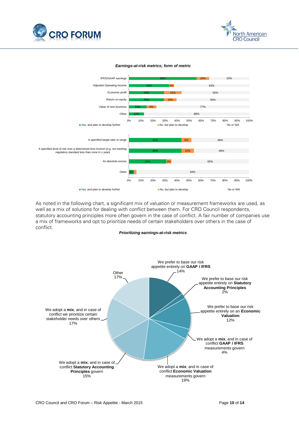



#### *Earnings-at-risk metrics; form of metric*



As noted in the following chart, a significant mix of valuation or measurement frameworks are used, as well as a mix of solutions for dealing with conflict between them. For CRO Council respondents, statutory accounting principles more often govern in the case of conflict. A fair number of companies use a mix of frameworks and opt to prioritize needs of certain stakeholders over others in the case of conflict.

#### *Prioritizing earnings-at-risk metrics*

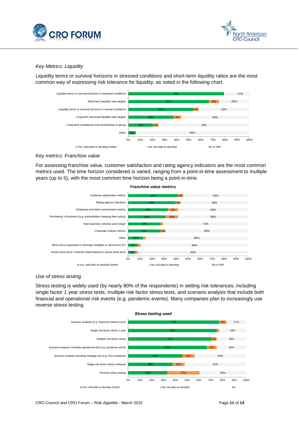



## *Key Metrics: Liquidity*

Liquidity terms or survival horizons in stressed conditions and short-term liquidity ratios are the most common way of expressing risk tolerance for liquidity, as noted in the following chart.



### *Key metrics: Franchise value*

For assessing franchise value, customer satisfaction and rating agency indicators are the most common metrics used. The time horizon considered is varied, ranging from a point-in-time assessment to multiple years (up to 5), with the most common time horizon being a point-in-time.



#### *Use of stress testing*

Stress testing is widely used (by nearly 80% of the respondents) in setting risk tolerances, including single factor 1 year stress tests, multiple risk factor stress tests, and scenario analysis that include both financial and operational risk events (e.g. pandemic events). Many companies plan to increasingly use reverse stress testing.

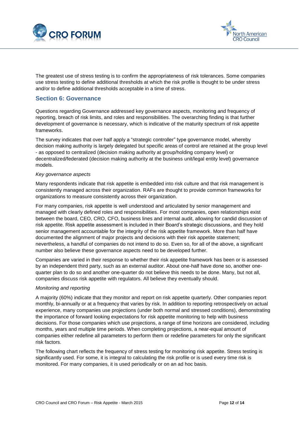



The greatest use of stress testing is to confirm the appropriateness of risk tolerances. Some companies use stress testing to define additional thresholds at which the risk profile is thought to be under stress and/or to define additional thresholds acceptable in a time of stress.

# <span id="page-11-0"></span>**Section 6: Governance**

Questions regarding Governance addressed key governance aspects, monitoring and frequency of reporting, breach of risk limits, and roles and responsibilities. The overarching finding is that further development of governance is necessary, which is indicative of the maturity spectrum of risk appetite frameworks.

The survey indicates that over half apply a "strategic controller" type governance model, whereby decision making authority is largely delegated but specific areas of control are retained at the group level - as opposed to centralized (decision making authority at group/holding company level) or decentralized/federated (decision making authority at the business unit/legal entity level) governance models.

#### *Key governance aspects*

Many respondents indicate that risk appetite is embedded into risk culture and that risk management is consistently managed across their organization. RAFs are thought to provide common frameworks for organizations to measure consistently across their organization.

For many companies, risk appetite is well understood and articulated by senior management and managed with clearly defined roles and responsibilities. For most companies, open relationships exist between the board, CEO, CRO, CFO, business lines and internal audit, allowing for candid discussion of risk appetite. Risk appetite assessment is included in their Board's strategic discussions, and they hold senior management accountable for the integrity of the risk appetite framework. More than half have documented the alignment of major projects and decisions with their risk appetite statement; nevertheless, a handful of companies do not intend to do so. Even so, for all of the above, a significant number also believe these governance aspects need to be developed further.

Companies are varied in their response to whether their risk appetite framework has been or is assessed by an independent third party, such as an external auditor. About one-half have done so, another onequarter plan to do so and another one-quarter do not believe this needs to be done. Many, but not all, companies discuss risk appetite with regulators. All believe they eventually should.

## *Monitoring and reporting*

A majority (60%) indicate that they monitor and report on risk appetite quarterly. Other companies report monthly, bi-annually or at a frequency that varies by risk. In addition to reporting retrospectively on actual experience, many companies use projections (under both normal and stressed conditions), demonstrating the importance of forward looking expectations for risk appetite monitoring to help with business decisions. For those companies which use projections, a range of time horizons are considered, including months, years and multiple time periods. When completing projections, a near-equal amount of companies either redefine all parameters to perform them or redefine parameters for only the significant risk factors.

The following chart reflects the frequency of stress testing for monitoring risk appetite. Stress testing is significantly used. For some, it is integral to calculating the risk profile or is used every time risk is monitored. For many companies, it is used periodically or on an ad hoc basis.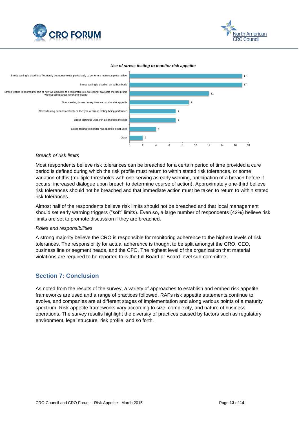



#### *Use of stress testing to monitor risk appetite*



#### *Breach of risk limits*

Most respondents believe risk tolerances can be breached for a certain period of time provided a cure period is defined during which the risk profile must return to within stated risk tolerances, or some variation of this (multiple thresholds with one serving as early warning, anticipation of a breach before it occurs, increased dialogue upon breach to determine course of action). Approximately one-third believe risk tolerances should not be breached and that immediate action must be taken to return to within stated risk tolerances.

Almost half of the respondents believe risk limits should not be breached and that local management should set early warning triggers ("soft" limits). Even so, a large number of respondents (42%) believe risk limits are set to promote discussion if they are breached.

#### *Roles and responsibilities*

A strong majority believe the CRO is responsible for monitoring adherence to the highest levels of risk tolerances. The responsibility for actual adherence is thought to be split amongst the CRO, CEO, business line or segment heads, and the CFO. The highest level of the organization that material violations are required to be reported to is the full Board or Board-level sub-committee.

## <span id="page-12-0"></span>**Section 7: Conclusion**

As noted from the results of the survey, a variety of approaches to establish and embed risk appetite frameworks are used and a range of practices followed. RAFs risk appetite statements continue to evolve, and companies are at different stages of implementation and along various points of a maturity spectrum. Risk appetite frameworks vary according to size, complexity, and nature of business operations. The survey results highlight the diversity of practices caused by factors such as regulatory environment, legal structure, risk profile, and so forth.